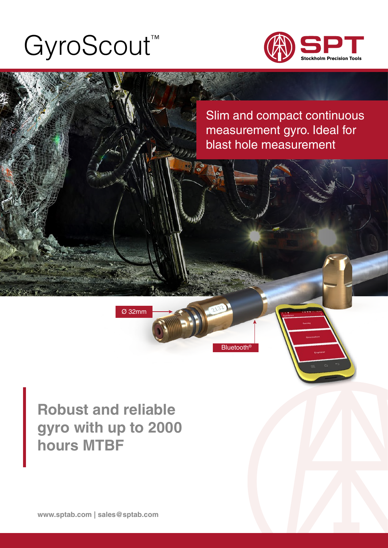# [GyroScout™](https://sptab.com/es/productos/gyrologic/)





### **Robust and reliable gyro with up to 2000 hours MTBF**